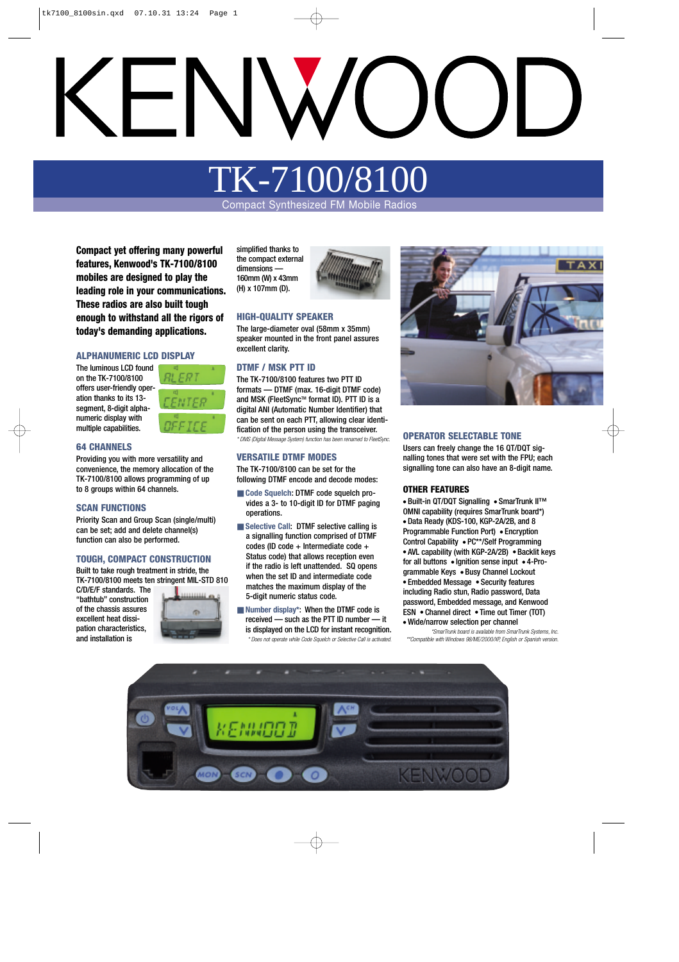# TK-7100/8

Compact Synthesized FM Mobile Radios

**Compact yet offering many powerful features, Kenwood's TK-7100/8100 mobiles are designed to play the leading role in your communications. These radios are also built tough enough to withstand all the rigors of today's demanding applications.**

#### **ALPHANUMERIC LCD DISPLAY**

The luminous LCD found on the TK-7100/8100 offers user-friendly operation thanks to its 13 segment, 8-digit alphanumeric display with multiple capabilities.



#### **64 CHANNELS**

Providing you with more versatility and convenience, the memory allocation of the TK-7100/8100 allows programming of up to 8 groups within 64 channels.

#### **SCAN FUNCTIONS**

Priority Scan and Group Scan (single/multi) can be set; add and delete channel(s) function can also be performed.

#### **TOUGH, COMPACT CONSTRUCTION**

Built to take rough treatment in stride, the TK-7100/8100 meets ten stringent MIL-STD 810

C/D/E/F standards. The "bathtub" construction of the chassis assures excellent heat dissipation characteristics, and installation is



simplified thanks to the compact external dimensions — 160mm (W) x 43mm (H) x 107mm (D).



#### **HIGH-QUALITY SPEAKER**

The large-diameter oval (58mm x 35mm) speaker mounted in the front panel assures excellent clarity.

#### **DTMF / MSK PTT ID**

The TK-7100/8100 features two PTT ID formats — DTMF (max. 16-digit DTMF code) and MSK (FleetSync™ format ID). PTT ID is a digital ANI (Automatic Number Identifier) that can be sent on each PTT, allowing clear identification of the person using the transceiver. *\* DMS (Digital Message System) function has been renamed to FleetSync.*

#### **VERSATILE DTMF MODES**

The TK-7100/8100 can be set for the following DTMF encode and decode modes:

- Code Squelch: DTMF code squelch provides a 3- to 10-digit ID for DTMF paging operations.
- Selective Call: DTMF selective calling is a signalling function comprised of DTMF codes (ID code + Intermediate code + Status code) that allows reception even if the radio is left unattended. SQ opens when the set ID and intermediate code matches the maximum display of the 5-digit numeric status code.
- **Number display\*:** When the DTMF code is received — such as the PTT ID number — it is displayed on the LCD for instant recognition. *\* Does not operate while Code Squelch or Selective Call is activated.*



#### **OPERATOR SELECTABLE TONE**

Users can freely change the 16 QT/DQT signalling tones that were set with the FPU; each signalling tone can also have an 8-digit name.

#### **OTHER FEATURES**

● Built-in QT/DQT Signalling ● SmarTrunk II™ OMNI capability (requires SmarTrunk board\*) ● Data Ready (KDS-100, KGP-2A/2B, and 8 Programmable Function Port) ● Encryption Control Capability ● PC\*\*/Self Programming ● AVL capability (with KGP-2A/2B) ● Backlit keys for all buttons ● Ignition sense input ● 4-Programmable Keys ● Busy Channel Lockout ● Embedded Message ● Security features including Radio stun, Radio password, Data password, Embedded message, and Kenwood ESN ● Channel direct ● Time out Timer (TOT) ● Wide/narrow selection per channel

*\*SmarTrunk board is available from SmarTrunk Systems, Inc. \*\*Compatible with Windows 98/ME/2000/XP, English or Spanish version.*